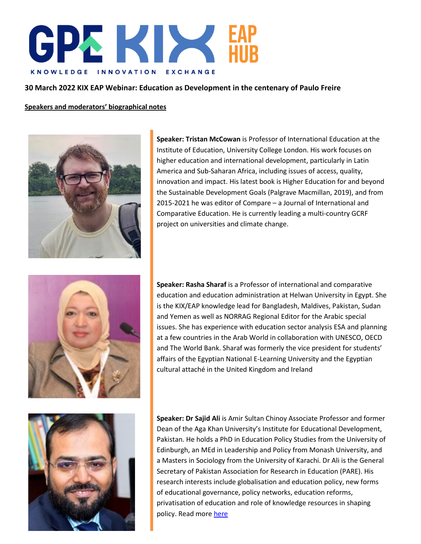

## **30 March 2022 KIX EAP Webinar: Education as Development in the centenary of Paulo Freire**

**Speakers and moderators' biographical notes**



**Speaker: Tristan McCowan** is Professor of International Education at the Institute of Education, University College London. His work focuses on higher education and international development, particularly in Latin America and Sub-Saharan Africa, including issues of access, quality, innovation and impact. His latest book is Higher Education for and beyond the Sustainable Development Goals (Palgrave Macmillan, 2019), and from 2015-2021 he was editor of Compare – a Journal of International and Comparative Education. He is currently leading a multi-country GCRF project on universities and climate change.



**Speaker: Rasha Sharaf** is a Professor of international and comparative education and education administration at Helwan University in Egypt. She is the KIX/EAP knowledge lead for Bangladesh, Maldives, Pakistan, Sudan and Yemen as well as NORRAG Regional Editor for the Arabic special issues. She has experience with education sector analysis ESA and planning at a few countries in the Arab World in collaboration with UNESCO, OECD and The World Bank. Sharaf was formerly the vice president for students' affairs of the Egyptian National E-Learning University and the Egyptian cultural attaché in the United Kingdom and Ireland



**Speaker: Dr Sajid Ali** is Amir Sultan Chinoy Associate Professor and former Dean of the Aga Khan University's Institute for Educational Development, Pakistan. He holds a PhD in Education Policy Studies from the University of Edinburgh, an MEd in Leadership and Policy from Monash University, and a Masters in Sociology from the University of Karachi. Dr Ali is the General Secretary of Pakistan Association for Research in Education (PARE). His research interests include globalisation and education policy, new forms of educational governance, policy networks, education reforms, privatisation of education and role of knowledge resources in shaping policy. Read more [here](https://www.aku.edu/iedpk/faculty/Pages/profile.aspx?ProfileID=43&Name=Sajid+Ali)